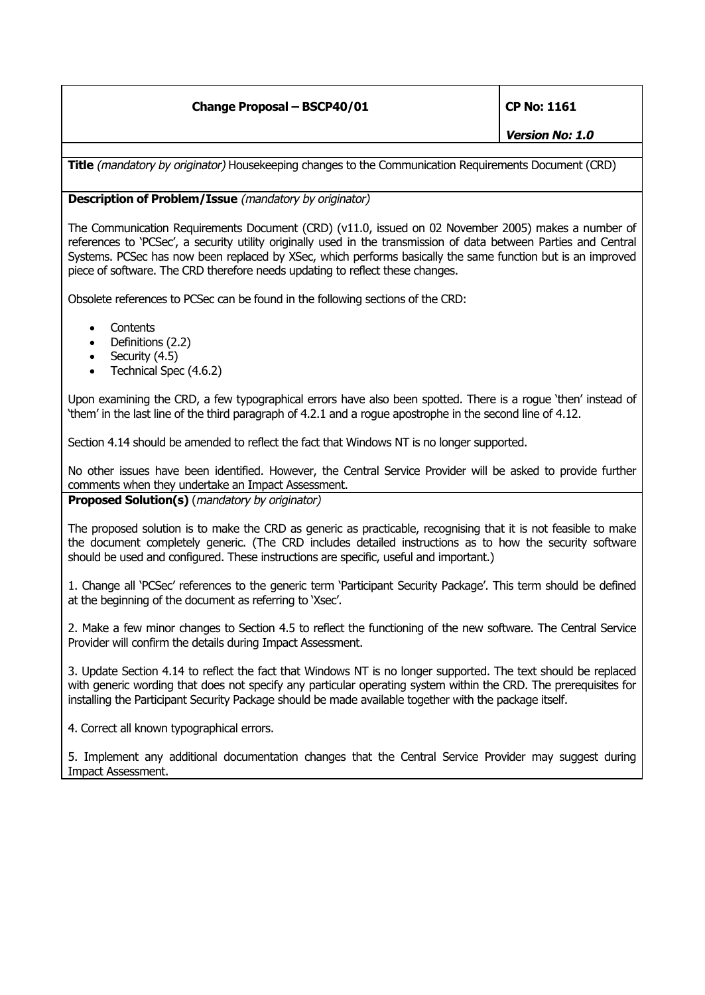## **Change Proposal – BSCP40/01 CP No: 1161**

**Version No: 1.0**

**Title** (mandatory by originator) Housekeeping changes to the Communication Requirements Document (CRD)

## **Description of Problem/Issue** (mandatory by originator)

The Communication Requirements Document (CRD) (v11.0, issued on 02 November 2005) makes a number of references to 'PCSec', a security utility originally used in the transmission of data between Parties and Central Systems. PCSec has now been replaced by XSec, which performs basically the same function but is an improved piece of software. The CRD therefore needs updating to reflect these changes.

Obsolete references to PCSec can be found in the following sections of the CRD:

- **Contents**
- Definitions (2.2)
- Security (4.5)
- Technical Spec (4.6.2)

Upon examining the CRD, a few typographical errors have also been spotted. There is a rogue 'then' instead of 'them' in the last line of the third paragraph of 4.2.1 and a rogue apostrophe in the second line of 4.12.

Section 4.14 should be amended to reflect the fact that Windows NT is no longer supported.

No other issues have been identified. However, the Central Service Provider will be asked to provide further comments when they undertake an Impact Assessment.

**Proposed Solution(s)** (mandatory by originator)

The proposed solution is to make the CRD as generic as practicable, recognising that it is not feasible to make the document completely generic. (The CRD includes detailed instructions as to how the security software should be used and configured. These instructions are specific, useful and important.)

1. Change all 'PCSec' references to the generic term 'Participant Security Package'. This term should be defined at the beginning of the document as referring to 'Xsec'.

2. Make a few minor changes to Section 4.5 to reflect the functioning of the new software. The Central Service Provider will confirm the details during Impact Assessment.

3. Update Section 4.14 to reflect the fact that Windows NT is no longer supported. The text should be replaced with generic wording that does not specify any particular operating system within the CRD. The prerequisites for installing the Participant Security Package should be made available together with the package itself.

4. Correct all known typographical errors.

5. Implement any additional documentation changes that the Central Service Provider may suggest during Impact Assessment.